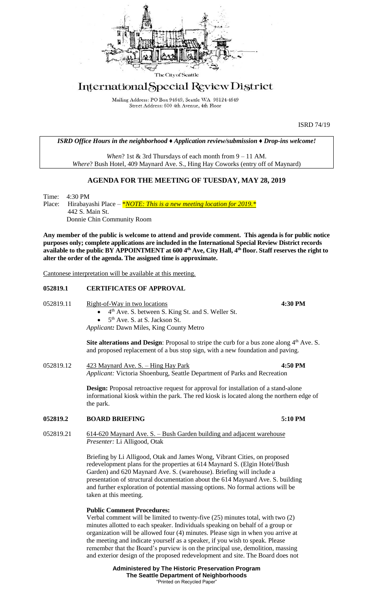

# International Special Review District

Mailing Address: PO Box 94649, Seattle WA 98124-4649 Street Address: 600 4th Avenue, 4th Floor

ISRD 74/19

*ISRD Office Hours in the neighborhood ♦ Application review/submission ♦ Drop-ins welcome!*

*When*? 1st & 3rd Thursdays of each month from 9 – 11 AM. *Where*? Bush Hotel, 409 Maynard Ave. S., Hing Hay Coworks (entry off of Maynard)

# **AGENDA FOR THE MEETING OF TUESDAY, MAY 28, 2019**

Time: 4:30 PM Place: Hirabayashi Place – *\*<u>NOTE: This is a new meeting location</u> for 2019.* \* 442 S. Main St. Donnie Chin Community Room

**Any member of the public is welcome to attend and provide comment. This agenda is for public notice purposes only; complete applications are included in the International Special Review District records available to the public BY APPOINTMENT at 600 4th Ave, City Hall, 4th floor. Staff reserves the right to alter the order of the agenda. The assigned time is approximate.** 

Cantonese interpretation will be available at this meeting.

### **052819.1 CERTIFICATES OF APPROVAL**

052819.11 Right-of-Way in two locations **4:30 PM**

• 4<sup>th</sup> Ave. S. between S. King St. and S. Weller St.  $\bullet$  5<sup>th</sup> Ave. S. at S. Jackson St.

*Applicant:* Dawn Miles, King County Metro

**Site alterations and Design:** Proposal to stripe the curb for a bus zone along  $4<sup>th</sup>$  Ave. S. and proposed replacement of a bus stop sign, with a new foundation and paving.

052819.12 423 Maynard Ave. S. – Hing Hay Park **4:50 PM** *Applicant:* Victoria Shoenburg, Seattle Department of Parks and Recreation

> **Design:** Proposal retroactive request for approval for installation of a stand-alone informational kiosk within the park. The red kiosk is located along the northern edge of the park.

## **052819.2 BOARD BRIEFING 5:10 PM**

052819.21 614-620 Maynard Ave. S. – Bush Garden building and adjacent warehouse *Presenter:* Li Alligood, Otak

> Briefing by Li Alligood, Otak and James Wong, Vibrant Cities, on proposed redevelopment plans for the properties at 614 Maynard S. (Elgin Hotel/Bush Garden) and 620 Maynard Ave. S. (warehouse). Briefing will include a presentation of structural documentation about the 614 Maynard Ave. S. building and further exploration of potential massing options. No formal actions will be taken at this meeting.

### **Public Comment Procedures:**

Verbal comment will be limited to twenty-five (25) minutes total, with two (2) minutes allotted to each speaker. Individuals speaking on behalf of a group or organization will be allowed four (4) minutes. Please sign in when you arrive at the meeting and indicate yourself as a speaker, if you wish to speak. Please remember that the Board's purview is on the principal use, demolition, massing and exterior design of the proposed redevelopment and site. The Board does not

> **Administered by The Historic Preservation Program The Seattle Department of Neighborhoods** "Printed on Recycled Paper"